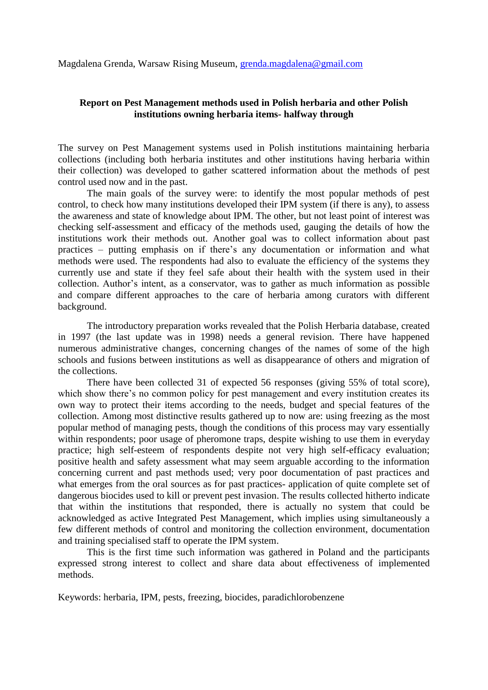Magdalena Grenda, Warsaw Rising Museum, [grenda.magdalena@gmail.com](mailto:grenda.magdalena@gmail.com)

## **Report on Pest Management methods used in Polish herbaria and other Polish institutions owning herbaria items- halfway through**

The survey on Pest Management systems used in Polish institutions maintaining herbaria collections (including both herbaria institutes and other institutions having herbaria within their collection) was developed to gather scattered information about the methods of pest control used now and in the past.

The main goals of the survey were: to identify the most popular methods of pest control, to check how many institutions developed their IPM system (if there is any), to assess the awareness and state of knowledge about IPM. The other, but not least point of interest was checking self-assessment and efficacy of the methods used, gauging the details of how the institutions work their methods out. Another goal was to collect information about past practices – putting emphasis on if there's any documentation or information and what methods were used. The respondents had also to evaluate the efficiency of the systems they currently use and state if they feel safe about their health with the system used in their collection. Author's intent, as a conservator, was to gather as much information as possible and compare different approaches to the care of herbaria among curators with different background.

The introductory preparation works revealed that the Polish Herbaria database, created in 1997 (the last update was in 1998) needs a general revision. There have happened numerous administrative changes, concerning changes of the names of some of the high schools and fusions between institutions as well as disappearance of others and migration of the collections.

There have been collected 31 of expected 56 responses (giving 55% of total score), which show there's no common policy for pest management and every institution creates its own way to protect their items according to the needs, budget and special features of the collection. Among most distinctive results gathered up to now are: using freezing as the most popular method of managing pests, though the conditions of this process may vary essentially within respondents; poor usage of pheromone traps, despite wishing to use them in everyday practice; high self-esteem of respondents despite not very high self-efficacy evaluation; positive health and safety assessment what may seem arguable according to the information concerning current and past methods used; very poor documentation of past practices and what emerges from the oral sources as for past practices- application of quite complete set of dangerous biocides used to kill or prevent pest invasion. The results collected hitherto indicate that within the institutions that responded, there is actually no system that could be acknowledged as active Integrated Pest Management, which implies using simultaneously a few different methods of control and monitoring the collection environment, documentation and training specialised staff to operate the IPM system.

This is the first time such information was gathered in Poland and the participants expressed strong interest to collect and share data about effectiveness of implemented methods.

Keywords: herbaria, IPM, pests, freezing, biocides, paradichlorobenzene